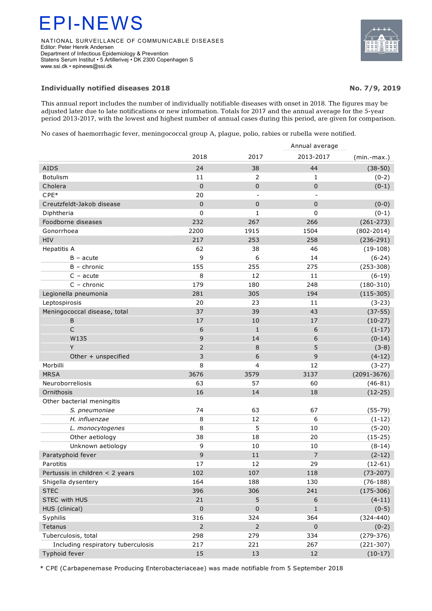## EPI-NEWS

NATIONAL SURVEILLANCE OF COMMUNICABLE DISEASES Editor: Peter Henrik Andersen Department of Infectious Epidemiology & Prevention Statens Serum Institut • 5 Artillerivej • DK 2300 Copenhagen S www.ssi.dk • epinews@ssi.dk

## **Individually notified diseases 2018 No. 7/9, 2019**

This annual report includes the number of individually notifiable diseases with onset in 2018. The figures may be adjusted later due to late notifications or new information. Totals for 2017 and the annual average for the 5-year period 2013-2017, with the lowest and highest number of annual cases during this period, are given for comparison.

No cases of haemorrhagic fever, meningococcal group A, plague, polio, rabies or rubella were notified.

|                                    |                |                         | Annual average |                  |  |  |  |
|------------------------------------|----------------|-------------------------|----------------|------------------|--|--|--|
|                                    | 2018           | 2017                    | 2013-2017      | $(min$ -max. $)$ |  |  |  |
| <b>AIDS</b>                        | 24             | 38                      | 44             | $(38-50)$        |  |  |  |
| <b>Botulism</b>                    | 11             | $\overline{2}$          | 1              | $(0-2)$          |  |  |  |
| Cholera                            | $\mathbf 0$    | $\pmb{0}$               | $\mathbf 0$    | $(0-1)$          |  |  |  |
| $CPE*$                             | 20             |                         |                |                  |  |  |  |
| Creutzfeldt-Jakob disease          | 0              | $\pmb{0}$               | $\pmb{0}$      | $(0-0)$          |  |  |  |
| Diphtheria                         | 0              | 1                       | 0              | $(0-1)$          |  |  |  |
| Foodborne diseases                 | 232            | 267                     | 266            | $(261 - 273)$    |  |  |  |
| Gonorrhoea                         | 2200           | 1915                    | 1504           | $(802 - 2014)$   |  |  |  |
| HIV                                | 217            | 253                     | 258            | $(236-291)$      |  |  |  |
| Hepatitis A                        | 62             | 38                      | 46             | $(19-108)$       |  |  |  |
| $B - acute$                        | 9              | 6                       | 14             | $(6-24)$         |  |  |  |
| $B -$ chronic                      | 155            | 255                     | 275            | $(253 - 308)$    |  |  |  |
| $C - acute$                        | 8              | 12                      | 11             | $(6-19)$         |  |  |  |
| $C -$ chronic                      | 179            | 180                     | 248            | $(180-310)$      |  |  |  |
| Legionella pneumonia               | 281            | 305                     | 194            | $(115-305)$      |  |  |  |
| Leptospirosis                      | 20             | 23                      | 11             | $(3-23)$         |  |  |  |
| Meningococcal disease, total       | 37             | 39                      | 43             | $(37-55)$        |  |  |  |
| B                                  | 17             | 10                      | 17             | $(10-27)$        |  |  |  |
| $\mathsf{C}$                       | 6              | $\mathbf{1}$            | 6              | $(1-17)$         |  |  |  |
| W135                               | 9              | 14                      | 6              | $(0-14)$         |  |  |  |
| Y                                  | $\overline{2}$ | $\,8\,$                 | 5              | $(3-8)$          |  |  |  |
| Other + unspecified                | 3              | $\boldsymbol{6}$        | 9              | $(4-12)$         |  |  |  |
| Morbilli                           | 8              | $\overline{\mathbf{4}}$ | 12             | $(3-27)$         |  |  |  |
| <b>MRSA</b>                        | 3676           | 3579                    | 3137           | $(2091 - 3676)$  |  |  |  |
| Neuroborreliosis                   | 63             | 57                      | 60             | $(46 - 81)$      |  |  |  |
| Ornithosis                         | 16             | 14                      | 18             | $(12-25)$        |  |  |  |
| Other bacterial meningitis         |                |                         |                |                  |  |  |  |
| S. pneumoniae                      | 74             | 63                      | 67             | $(55-79)$        |  |  |  |
| H. influenzae                      | 8              | 12                      | 6              | $(1-12)$         |  |  |  |
| L. monocytogenes                   | 8              | 5                       | 10             | $(5-20)$         |  |  |  |
| Other aetiology                    | 38             | 18                      | 20             | $(15-25)$        |  |  |  |
| Unknown aetiology                  | 9              | 10                      | 10             | $(8-14)$         |  |  |  |
| Paratyphoid fever                  | 9              | 11                      | $\overline{7}$ | $(2-12)$         |  |  |  |
| Parotitis                          | 17             | 12                      | 29             | $(12-61)$        |  |  |  |
| Pertussis in children < 2 years    | 102            | 107                     | 118            | $(73-207)$       |  |  |  |
| Shigella dysentery                 | 164            | 188                     | 130            | $(76-188)$       |  |  |  |
| <b>STEC</b>                        | 396            | 306                     | 241            | $(175-306)$      |  |  |  |
| STEC with HUS                      | 21             | 5                       | 6              | $(4-11)$         |  |  |  |
| HUS (clinical)                     | $\pmb{0}$      | $\pmb{0}$               | $\mathbf{1}$   | $(0-5)$          |  |  |  |
| Syphilis                           | 316            | 324                     | 364            | $(324 - 440)$    |  |  |  |
| Tetanus                            | $\overline{2}$ | $\overline{2}$          | $\pmb{0}$      | $(0-2)$          |  |  |  |
| Tuberculosis, total                | 298            | 279                     | 334            | $(279-376)$      |  |  |  |
| Including respiratory tuberculosis | 217            | 221                     | 267            | $(221-307)$      |  |  |  |
| Typhoid fever                      | 15             | 13                      | 12             | $(10-17)$        |  |  |  |

\* CPE (Carbapenemase Producing Enterobacteriaceae) was made notifiable from 5 September 2018